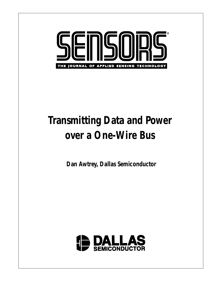

# **Transmitting Data and Power over a One-Wire Bus**

**Dan Awtrey, Dallas Semiconductor**

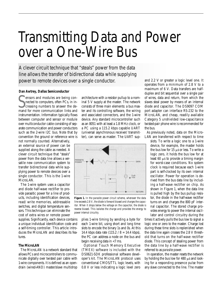# Transmitting Data and Power over a One-Wire Bus

A clever circuit technique that "steals" power from the data line allows the transfer of bidirectional data while supplying power to remote devices over a single conductor.

# **Dan Awtrey, Dallas Semiconductor**

**SECULIEE** ensors and modules are being connected to computers, often PCs, in increasing numbers to answer the demand for more communication links and ensors and modules are being connected to computers, often PCs, in increasing numbers to answer the deinstrumentation. Information typically flows between computer and sensor or module over multiconductor cable consisting of separate communication and power conductors such as the 2-wire I2C bus. Note that by convention the ground or reference wire is

not normally counted. Alternatively, an external source of power can be supplied along the cable as needed. A clever circuit technique that "steals" power from the data line allows a versatile new communication system to transfer bidirectional data while supplying power to remote devices over a single conductor. This is the 1-wire MicroLAN.

The 1-wire system uses a capacitor and diode half-wave rectifier to provide parasitic power for a line of products, including identification devices, read/ write memories, addressable switches, and digital temperature sensors. This technique can eliminate the cost of extra wires or remote power

supplies. Significantly, each device contains a unique individual identification code and a self-timing controller. This article introduces the MicroLAN and describes its features.

## **The MicroLAN**

The MicroLAN is a network standard that allows PCs and microcontrollers to communicate digitally over twisted pair cable with 1-wire components. It is defined as an opendrain (wired-AND) master/slave multidrop architecture with a resistor pullup to a nominal 5 V supply at the master. The network consists of three main elements: a bus master and its controlling software, the wiring and associated connectors, and the 1-wire device. Any standard microcontroller such as an 8051 with at least a 1.8 MHz clock, or a PC using a 115.2 kbps capable UART (universal asynchronous receiver/ transmitter), can serve as master. The UART sup-



**Figure 1***. In the parasite power circuit scheme, whenever the data line exceeds 2.8 V, the diode is forward biased and charges the capacitor. When it drops below the voltage on the capacitor, the diode is reverse biased. This isolates the charge and provides the energy to power internal circuitry.*

plies 1-wire timing by sending a byte for each 1-wire bit, using short and long time slots to encode the binary 1s and 0s. At this 14.4 kbps data rate  $(115.2 / 8 = 14.4 \text{ kbps})$ , the PC can address a node on the bus and begin receiving data in <7 ms.

Optional Touch Memory EXecutive (TMEX) software is included with the DS0621-SDK professional software developer's kit. The MicroLAN protocol uses conventional CMOS/TTL logic levels, with 0.8 V or less indicating a logic level zero

and 2.2 V or greater a logic level one. It operates from a minimum of 2.8 V to a maximum of 6 V. Data transfers are halfduplex and bit sequential over a single pair of wires, data and return, from which the slaves steal power by means of an internal diode and capacitor. The DS9097 COM port adapter can interface RS-232 to the MicroLAN, and cheap, readily available Category 5 unshielded low-capacitance twisted-pair phone wire is recommended for the bus.

As previously noted, data on the Micro-LAN are transferred with respect to time

slots. To write a logic one to a 1-wire device, for example, the master holds the bus low for 15  $\mu$ s or less. To write a logic zero, it holds the bus low for at least 60 μs to provide a timing margin for worst-case conditions. No system clock is required because each 1-wire part is self-clocked by its own internal oscillator. Power for operation is derived from the bus data line by including a half-wave rectifier on chip. As shown in Figure 1, when the data line is pulled high by the bus pullup resistor, the diode in the half-wave rectifier turns on and charges the 800 pF internal capacitor. The stored charge provides energy to power the internal oscillator and control circuitry during the

times it actively pulls the bus low to signal a logic one or zero to the master. Charge lost during these time slots is replenished when the data line again crosses the 2.8 V threshold that turns on the half-wave rectifier diode. This concept of stealing power from the data line by a half-wave rectifier is referred to as *parasite power*.

In operation, the master resets the network by holding the bus low for 480  $\mu$ s and looking for a responding presence pulse from any slave connected to the line. The master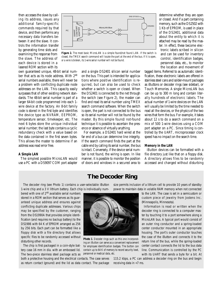then accesses the slave by calling its address, issues any additional family-specific commands required by that device, and then performs any necessary data transfers between it and the slave. It controls the information transfer by generating time slots and examining the response from the slave. The address of each device is stored in a lasered ROM section with its

own guaranteed unique, 48-bit serial number that acts as its node address. With 2<sup>48</sup> serial numbers available, there will never be a problem with conflicting duplicate node addresses on the LAN. This capacity easily surpasses that of other existing network standards. The 48-bit serial number is part of a larger 64-bit code programmed into each 1 wire device at the factory. An 8-bit family code is stored in the first byte and identifies the device type as NVRAM, EEPROM, temperature sensor, timekeeper, etc. The next 6 bytes store the unique individual serial number; the last byte contains a cyclic redundancy check with a value based on the data contained in the first seven bytes. This allows the master to determine if an address was read error free.

#### **A Simple LAN**

The simplest possible MicroLAN would use a PC with a DS9097 COM port adapter



**Figure 2.** *The most basic MicroLAN is a simple found/not found LAN. If the switch is closed, the TMEX search command will locate the part at the end of the bus. If it is open, or a wire is broken, its 1-wire serial number will not be found.*

and a single DS2401 silicon serial number on the bus. This part is intended for applications where positive identification is required, but can also be used to check whether a switch is open or closed. When the DS2401 is connected to the net through the switch (see Figure 2), the master can find and read its serial number using TMEX search command software. When the switch is open, the part is not connected to the bus so its serial number will not be found by the master. By this simple found/ not-found technique it is possible to ascertain the presence or absence of virtually anything.

For example, a DS2401 hard wired at the far end of a bus can determine line integrity. If the search command finds the part at the cable end by calling its serial number, the bus is intact. Conversely, if the device serial number is not found, the wiring is open. In like manner, it is possible to monitor the position of doors and windows in a secured area to

determine whether they are open or closed. And if a part containing memory, such as the DS2502 with 1 Kb of EPROM, is used in place of the DS2401, additional data about the entity to which it is attached may be read by the master. In effect, these become electronic labels scribed in silicon and can be used for inventory control, identification badges, personnel data, etc., to monitor the location and movement of

tagged items. Referred to as automatic identification, these electronic labels are offered in stainless steel cans and solder-mount packages as iButtons or decoder rings (see sidebar), or Touch Memories. A single MicroLAN bus can be up to 300 m long and contain literally hundreds of electronic labels. The actual number of 1-wire devices on the LAN will usually be limited by the time needed to read all the devices, or the physics of the two wires that form the bus. For example, it takes about 12 s to do a search command on a mix of 500 1-wire devices using a COM port adapter on a PC. Since timing is controlled by the UART, microprocessor clock speed has no impact on the search time.

### **Memory in the LAN**

iButton devices can be formatted with a file directory just like that on a floppy disk. A directory allows files to be randomly accessed and changed without disturbing

# **The Decoder Ring**

**Photo 1**. *Decoder rings such as this one incorporating an iButton can serve as a convenient replacement for employee identification badges. The button can contain up to 64 K of memory to record security level,*

*personnel or medical data, etc.*

The decoder ring (see Photo 1) contains a user-selectable iButton 1-wire chip and a 3 V lithium battery. Each chip is individually num-

bered with one of 248 available serial numbers stored in a ROM section that serves as its guaranteed unique address and ensures against conflicting duplicate addresses. Various chips may be specified by the customer, ranging from the DS1990A that provides simple identification (and requires no backup battery) to the DS1986 with 64 K of EPROM arranged as 256 by 256 bits. Each part can be formatted like a floppy disk with a file directory that allows specific files to be randomly accessed without disturbing other records.

The chip is first packaged in a coin-style battery case 16 mm in dia. with an embossed lid. The two-piece stainless steel package acts as

both a protective housing and the electrical contacts. The case serves as return contact (ground) and the lid as data contact. The package size permits inclusion of a lithium cell to provide 10 years of standby power to maintain data in volatile RAM memory when not connected

> to the LAN. The case is set in a semicustom or custom piece of jewelry from Jostens Inc. (Minneapolis, Minnesota).

> Information is read or written when the decoder ring is connected to a computer master by touching it to a port somewhere along a MicroLAN bus. A typical port would consist of an outer ring conductor and a spring-loaded center conductor mounted in an appropriate housing. The port's outer conductor touches the case of the iButton and connects it to the return line of the bus, while the spring-loaded center contact connects the lid to the bus data line. Communication is controlled by the PC with its UART that sends a byte for a bit. At

115.2 kbps, a PC can address a decoder ring on the bus and begin receiving data in <7 ms.